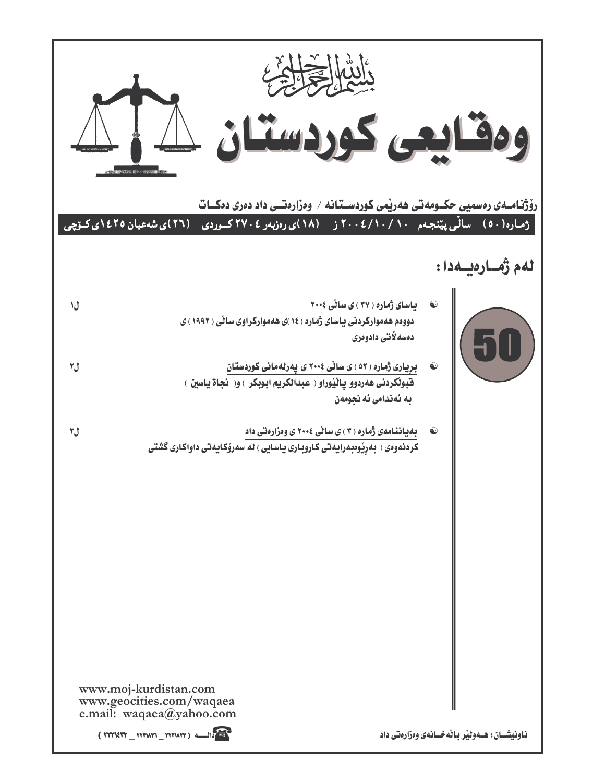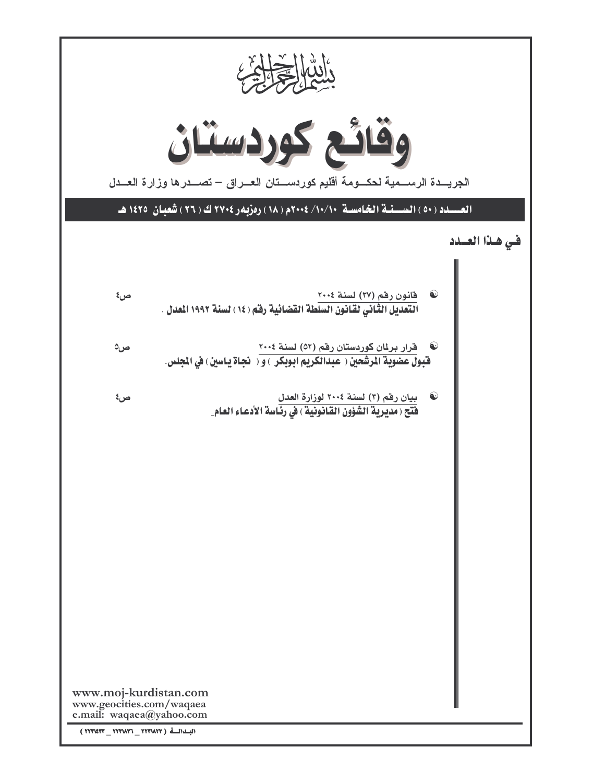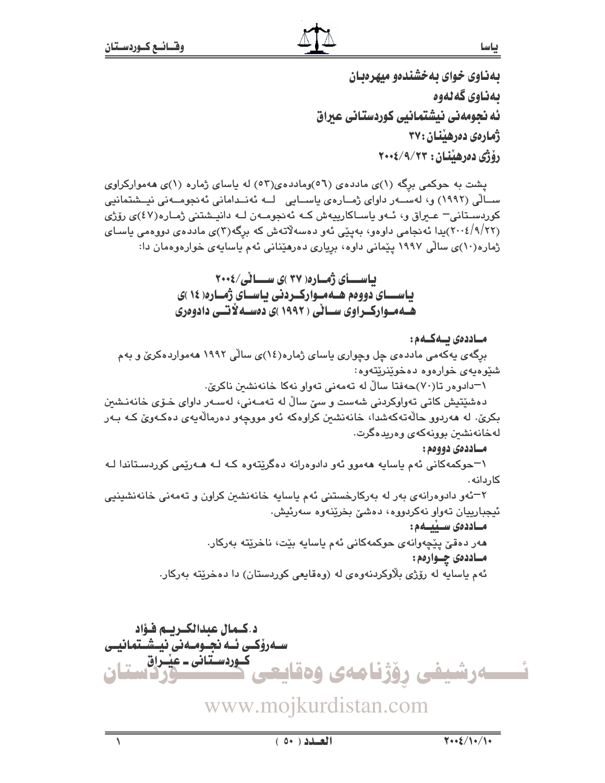بهناوی خوای بهخشندهو میهرهبان ىەناوى گەلەوە ئه نحومەنى نيشتمانيي كوردستاني عبراق ژمارهي دهرهٽنان : ۳۷ رۆژى دەرھىندان: ٢٠٠٤/٩/٢٠٠٢

پشت به حوکمی برگه (۱)ی ماددهی (۵٦)وماددهی(۵۲) له پاسای ژماره (۱)ی ههموارکراوی ســالّي (١٩٩٢) و، لهســهر داواي ژمــارهي ياســايي لــه ئهنــداماني ئهنجومــهني نيــشتمانيي کوردستانی – عیراق و، ئـهو یاسـاکارییهش کـه ئهنجومـهن لـه دانیـشتنی ژمـاره(٤٧)ی رۆژی (۲۰۰۶/۹/۲۲)پدا ئەنجامى داوەو، بەينى ئەو دەسەلاتەش كە برگە(۳)ى ماددەى دووەمى ياسـاى ژماره(۱۰)ی سالی ۱۹۹۷ پیمانی داوه، بریاری دهرهینانی ئهم یاسایهی خوارهوهمان دا:

> باسسای ژماره ( ۳۷ )ی سسانی/۶۰۰۶ باســای دووهم هـهمـوارکـردنی باسـای ژمـاره( ١٤ )ی هـهمـوارکـراوی سـانی ( ۱۹۹۲ )ی دهسـه لاتــی دادوهری

### مــاددەى يــەكــەم:

برگهی یهکهمی ماددهی چل وچواری یاسای ژماره(۱٤)ی سالّی ۱۹۹۲ ههمواردهکریؒ و بهم شێوهیهی خوارهوه دهخوێنرێتهوه:

۱–دادوور تا(۷۰)حەفتا سالٌ لە تەمەنى تەوار نەكا خانەنشىن ناكرىّ.

دەشێتپش كاتى تەواوكردنى شەست و سىّ سالّ لە تەمـەنى، لەسـەر داواي خـۆي خانەنـشىن بکريٰ. له ههردوو حالهتهکهشدا، خانهنشين کراوهکه ئهو مووچهو دهرمالهيهي دهکهويٰ کـه بـهر لەخانەنشىن بوونەكەي وەريدەگرت.

### مساددهي دووهم :

۱–حوکمهکانی ئهم یاسایه ههموو ئهو دادوهرانه دهگرێتهوه کـه لـه هــهرێمی کوردسـتاندا لــه كاردانه .

۲–ئەو دادوەرانەي بەر لە بەركارخستنى ئەم ياسايە خانەنشىن كراون و تەمەنى خانەنشىينيى ئيجبارييان تەوار نەكردووە، دەشى بخرينەوە سەرئيش.

## مساددەى سىيىسەم:

مەر دەقىّ پێچەوانەي حوكمەكانى ئەم ياسايە بێت، ناخرێتە بەركار. مــاددهى چــواردم: ئهم ياسايه له رۆژي بلاوكردنەوەي له (وەقايعى كوردستان) دا دەخرێتە بەركار.



www.mojkurdistan.com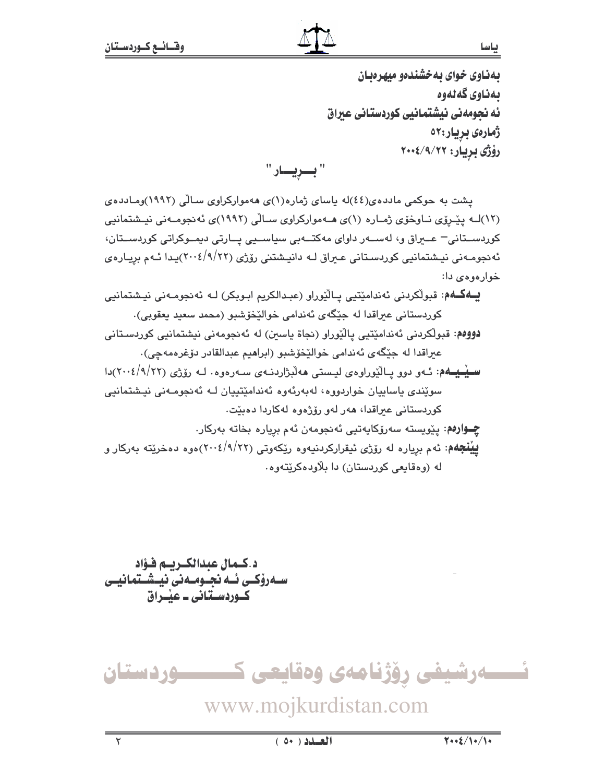بهناوی خوای به خشندهو میهرهبان ىەناوى گەنەوە ئه نحومهني نيشتمانيي كوردستاني عبراق ژمارەى بريار:٥٢ رۆژى بريار: ٢٠٠٤/٩/٢٦

"بريار"

یشت به حوکمی ماددهی(٤٤)له پاسای ژماره(١)ی ههموارکراوی سـالّی (١٩٩٢)ومـادده ی (١٢)لـه يێـرۆي نـاوخۆي ژمـاره (١)ي هــهمواركراوي سـالّي (١٩٩٢)ي ئه نجومــهني نيـشتمانيي کوردســتانی – عــیراق و، لهســهر داوای مهکتــهبی سیاســیی پــارتی دیمــوکراتی کوردســتان، ئەنجومـەنى نيـشتمانيي كوردسـتانى عـبراق لـه دانيـشتنى رۆژى (٢٠١٤/٩/٢٢)يـدا ئـهم بريـارەي خوارهوهي دا:

**یــهکــهم**: قبولکردنی ئەندامێتیی پـالێوراو (عبـدالکریم ابـوبکر) لـه ئەنجومـەنی نیـشتمانیی کوردستاني عبراقدا له جِٽِگهي ئهندامي خوالٽِخوشبو (محمد سعيد يعقوبي)٠ دووهم: قبولُكردني ئەندامێتيي پالێوراو (نجاة پاسىن) لە ئەنجومەنى نيشتمانيي كوردسـتانى عبراقدا له جِيْگَهِي ئَهندامي خواليْخوشبو (ابراهيم عبدالقادر دوْغرەمەچى). <mark>سینسیه</mark>م: ئـهو دوو پـالنّیوراوهى لیـستى ههلّبژاردنـهى سـهرهوه . لـه رۆژى (۲۲/۱/۲۲)دا سوێندی پاساییان خواردووه، لهبەرئەوه ئەندامێتییان لـه ئەنجومـەنى نیشتمانیی کوردستانی عبراقدا، هەر لەو رۆژەوە لەکاردا دەبێت.

چـوارەم: يێويستە سەرۆكايەتيى ئەنجومەن ئەم بريارە بخاتە بەركار. **بينجهم**: ئهم برياره له رۆژى ئيقراركردنيەوه ريكەوتى (٢٠١٤/٩/٢٢)هوه دەخريته بەركار و له (وهقايعي کوردستان) دا بلاودهکريٽهوه٠

د.كـمال عبدالكـريـم فـؤاد سـەرۆكــى ئــە نجــومــەنى نيــشــتمانيــى کےوردستانی ۔ عنداق

ئــــــەرشيفى رۆژنامەى وەقايعى كــــــــــوردستان www.mojkurdistan.com

 $(0+)$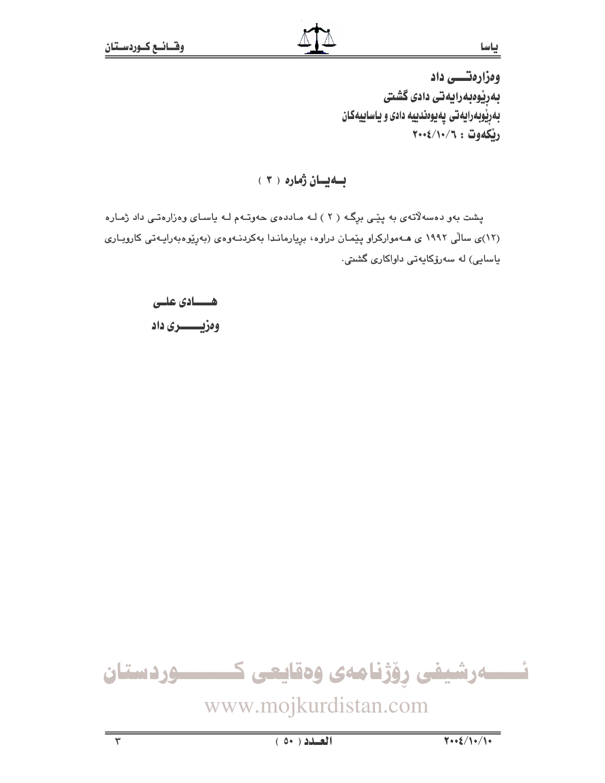ياسا

وەزارەتسى داد بەرپوەبەرايەتى دادى گشتى بهریوبهرایهتی پهیوهندییه دادی و یاساییهکان ريكەوت : ٢٠٠٤/١٠/٦

بهيان زماره ( ٣ )

پشت بهو دهسهلاتهی به پێی برِگـه ( ۲ ) لـه مـاددهی حهوتـهم لـه پاسـای وهزارهتـی داد ژمـاره (۱۲)ی سالّی ۱۹۹۲ ی هـهموارکراو پیّمـان دراوه، بړیارمانـدا بهکردنـهوهی (بهړیوهبهرایـهتی کاروبـاری ياسايى) لە سەرۆكايەتى داواكارى گشتى.

> هــــادي علــي وەزيىسىرى داد



www.mojkurdistan.com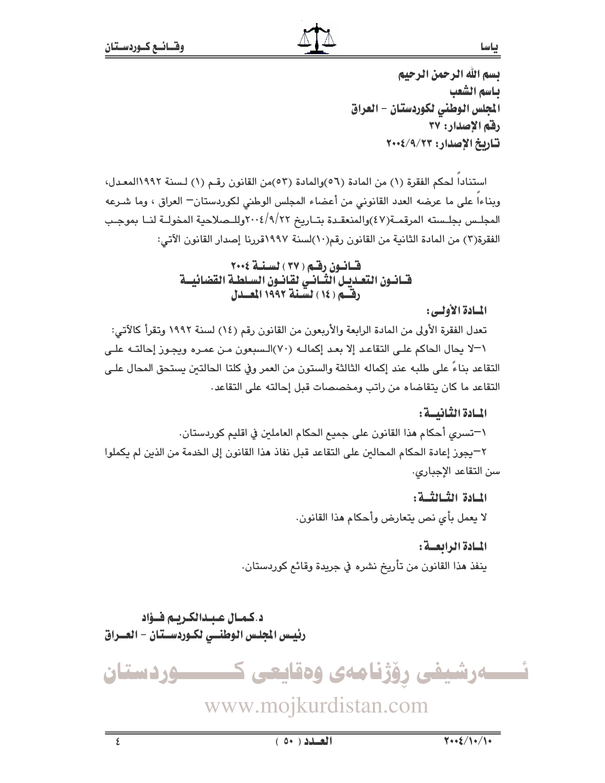ياسا

بسم الله الرحمن الرحيم ياسم الشعب الجلس الوطني لكوردستان - العراق رفق الاصدار: ٣٧ تاريخ الإصدار: ٢٠٠٤/٩/٢٣

استنادا لحكم الفقرة (١) من المادة (٥٦)والمادة (٥٣)من القانون رقم (١) لسنة ١٩٩٢المعدل، وبناءاً على ما عرضه العدد القانوني من أعضاء المجلس الوطني لكوردستان— العراق ، وما شـرعه المجلس بجلسته المرقمـة(٤٧)والمنعقـدة بتـاريخ ٢٠١٤/٩/٢٢وللـصلاحية المخولــة لنــا بموجـب الفقرة(٣) من المادة الثانية من القانون رقم(١٠)لسنة ١٩٩٧قررنا إصدار القانون الآتي:

# قسانيون رفقم (٣٧) لسنة ٢٠٠٤

## المسادة الأولسي:

تعدل الفقرة الأولى من المادة الرابعة والأربعون من القانون رقم (١٤) لسنة ١٩٩٢ وتقرأ كالآتي: ١-لا يحال الحاكم على التقاعد إلا بعد إكمالـه (٧٠)الـسبعون مـن عمـره ويجـوز إحالتـه علـى التقاعد بناءً على طلبه عند إكماله الثالثة والستون من العمر وفي كلتا الحالتين يستحق المحال علـى التقاعد ما كان يتقاضاه من راتب ومخصصات قبل إحالته على التقاعد.

المسادة الثنانيسة :

\−تسرى أحكام هذا القانون على جميع الحكام العاملين في اقليم كوردستان. ٢–يجوز إعادة الحكام المحالبن على التقاعد قبل نفاذ هذا القانون إلى الخدمة من الذين لم يكملوا سن التقاعد الإجبارى.

> المبادة الشيالشية : لا يعمل بأى نص يتعارض وأحكام هذا القانون.

المسادة الرابعية: ينفذ هذا القانون من تأريخ نشره في جريدة وقائع كوردستان.

د.كمـال عـبـدالكـريـم فــؤاد رئيس الجلس الوطنسي لكـوردسـتان - العــراق

ئـــــهرشیفی رۆژنامەی وەقايعی ک ـــــوردستان

www.mojkurdistan.com

 $\overline{\epsilon}$